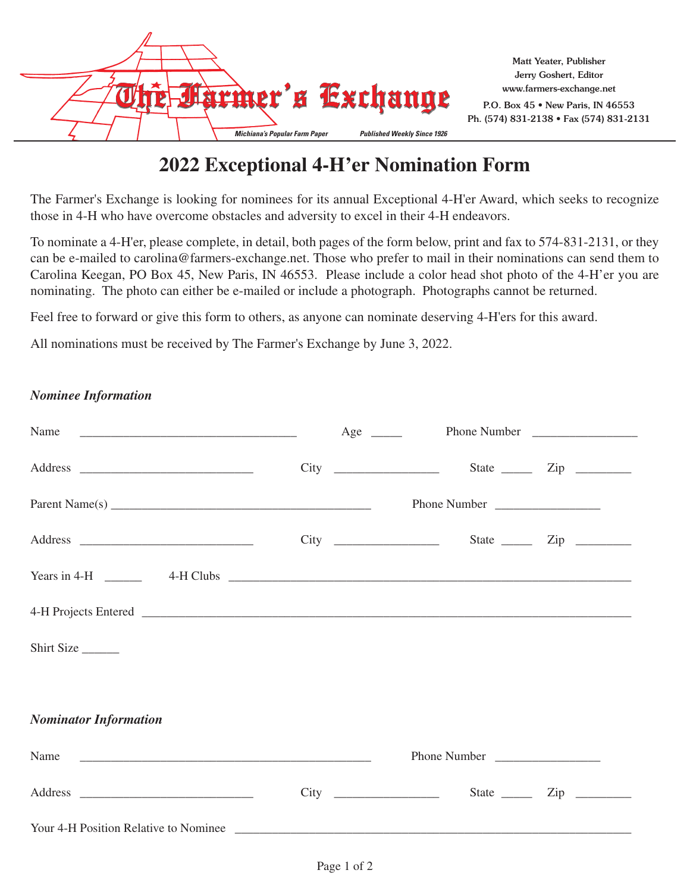

Ph. (574) 831-2138 • Fax (574) 831-2131

## **2022 Exceptional 4-H'er Nomination Form**

The Farmer's Exchange is looking for nominees for its annual Exceptional 4-H'er Award, which seeks to recognize those in 4-H who have overcome obstacles and adversity to excel in their 4-H endeavors.

To nominate a 4-H'er, please complete, in detail, both pages of the form below, print and fax to 574-831-2131, or they can be e-mailed to carolina@farmers-exchange.net. Those who prefer to mail in their nominations can send them to Carolina Keegan, PO Box 45, New Paris, IN 46553. Please include a color head shot photo of the 4-H'er you are nominating. The photo can either be e-mailed or include a photograph. Photographs cannot be returned.

Feel free to forward or give this form to others, as anyone can nominate deserving 4-H'ers for this award.

All nominations must be received by The Farmer's Exchange by June 3, 2022.

## *Nominee Information*

|                                                                                                                                                                                                                                                                     |              | $City \_$    | State <u>_______</u> Zip ___________ |
|---------------------------------------------------------------------------------------------------------------------------------------------------------------------------------------------------------------------------------------------------------------------|--------------|--------------|--------------------------------------|
| Parent Name(s) $\overline{\phantom{a}}$                                                                                                                                                                                                                             | Phone Number |              |                                      |
|                                                                                                                                                                                                                                                                     |              |              |                                      |
| Years in 4-H $\qquad$ 4-H Clubs $\qquad$ 4-H Clubs $\qquad$ 4-H Clubs $\qquad$ 4-H Clubs $\qquad$ 4-H Clubs $\qquad$ 4-H Clubs $\qquad$ 4-H Clubs $\qquad$ 4-H Clubs $\qquad$ 4-H Clubs $\qquad$ 4-H Clubs $\qquad$ 4-H Clubs $\qquad$ 4-H Clubs $\qquad$ 4-H Clubs |              |              |                                      |
|                                                                                                                                                                                                                                                                     |              |              |                                      |
| Shirt Size                                                                                                                                                                                                                                                          |              |              |                                      |
|                                                                                                                                                                                                                                                                     |              |              |                                      |
| <b>Nominator Information</b>                                                                                                                                                                                                                                        |              |              |                                      |
|                                                                                                                                                                                                                                                                     |              | Phone Number |                                      |
|                                                                                                                                                                                                                                                                     |              |              | State <u>_______</u> Zip __________  |
| Your 4-H Position Relative to Nominee                                                                                                                                                                                                                               |              |              |                                      |